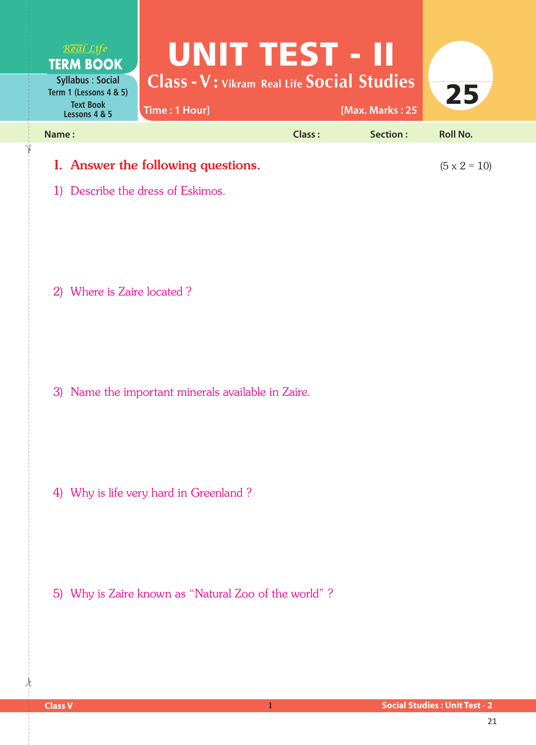| Real Life<br><b>TERM BOOK</b>                                                          | UNITTESTE II                                                       |        |                     |                 |
|----------------------------------------------------------------------------------------|--------------------------------------------------------------------|--------|---------------------|-----------------|
| <b>Syllabus: Social</b><br>Term 1 (Lessons 4 & 5)<br><b>Text Book</b><br>Lessons 4 & 5 | <b>Class - V: Vikram Real Life Social Studies</b><br>Time: 1 Hour] |        | [Max. Marks: 25     | 25              |
| Name:                                                                                  |                                                                    | Class: | Section:            | <b>Roll No.</b> |
| I. Answer the following questions.                                                     |                                                                    |        | $(5 \times 2 = 10)$ |                 |

1) Describe the dress of Eskimos.

2) Where is Zaire located ?

3) Name the important minerals available in Zaire.

4) Why is life very hard in Greenland ?

5) Why is Zaire known as "Natural Zoo of the world"?

 $\frac{1}{2}$ 

✁